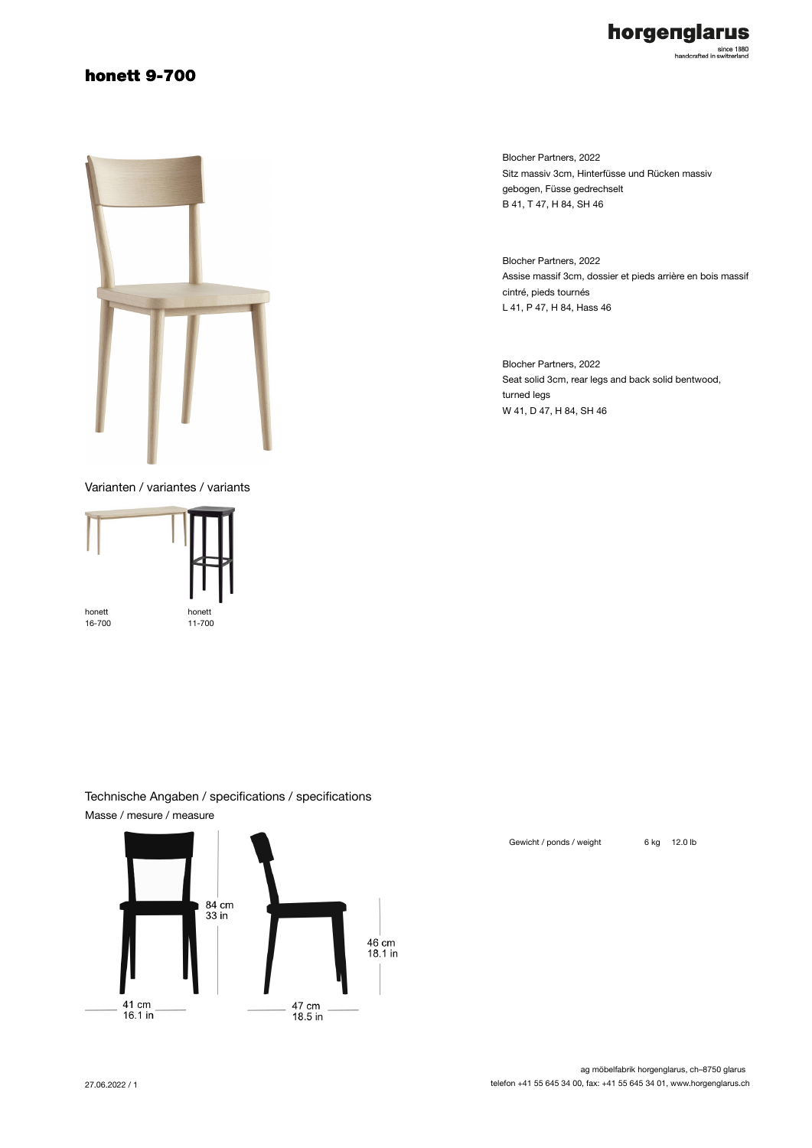### honett 9-700



Varianten / variantes / variants



Blocher Partners, 2022 Sitz massiv 3cm, Hinterfüsse und Rücken massiv gebogen, Füsse gedrechselt B 41, T 47, H 84, SH 46

horgenglarus

since 1880<br>handcrafted in switzerland

Blocher Partners, 2022 Assise massif 3cm, dossier et pieds arrière en bois massif cintré, pieds tournés L 41, P 47, H 84, Hass 46

Blocher Partners, 2022 Seat solid 3cm, rear legs and back solid bentwood, turned legs W 41, D 47, H 84, SH 46

#### Technische Angaben / specifications / specifications Masse / mesure / measure



Gewicht / ponds / weight 6 kg 12.0 lb